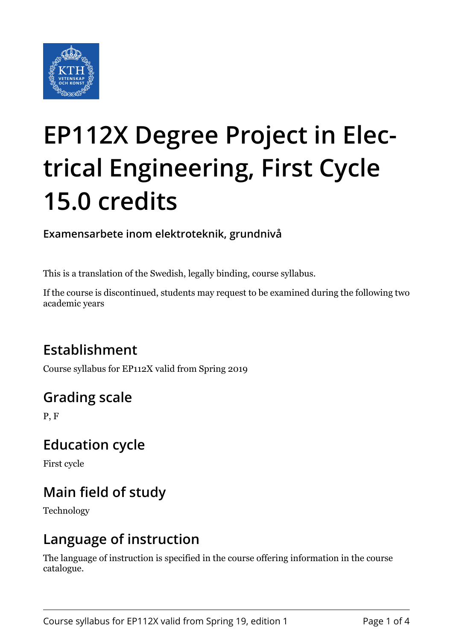

# **EP112X Degree Project in Electrical Engineering, First Cycle 15.0 credits**

**Examensarbete inom elektroteknik, grundnivå**

This is a translation of the Swedish, legally binding, course syllabus.

If the course is discontinued, students may request to be examined during the following two academic years

# **Establishment**

Course syllabus for EP112X valid from Spring 2019

# **Grading scale**

P, F

#### **Education cycle**

First cycle

# **Main field of study**

Technology

#### **Language of instruction**

The language of instruction is specified in the course offering information in the course catalogue.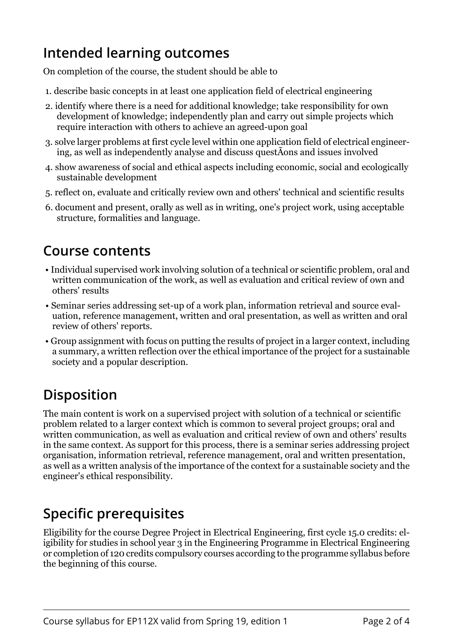## **Intended learning outcomes**

On completion of the course, the student should be able to

- 1. describe basic concepts in at least one application field of electrical engineering
- 2. identify where there is a need for additional knowledge; take responsibility for own development of knowledge; independently plan and carry out simple projects which require interaction with others to achieve an agreed-upon goal
- 3. solve larger problems at first cycle level within one application field of electrical engineering, as well as independently analyse and discuss questÃons and issues involved
- 4. show awareness of social and ethical aspects including economic, social and ecologically sustainable development
- 5. reflect on, evaluate and critically review own and others' technical and scientific results
- 6. document and present, orally as well as in writing, one's project work, using acceptable structure, formalities and language.

### **Course contents**

- Individual supervised work involving solution of a technical or scientific problem, oral and written communication of the work, as well as evaluation and critical review of own and others' results
- Seminar series addressing set-up of a work plan, information retrieval and source evaluation, reference management, written and oral presentation, as well as written and oral review of others' reports.
- Group assignment with focus on putting the results of project in a larger context, including a summary, a written reflection over the ethical importance of the project for a sustainable society and a popular description.

# **Disposition**

The main content is work on a supervised project with solution of a technical or scientific problem related to a larger context which is common to several project groups; oral and written communication, as well as evaluation and critical review of own and others' results in the same context. As support for this process, there is a seminar series addressing project organisation, information retrieval, reference management, oral and written presentation, as well as a written analysis of the importance of the context for a sustainable society and the engineer's ethical responsibility.

## **Specific prerequisites**

Eligibility for the course Degree Project in Electrical Engineering, first cycle 15.0 credits: eligibility for studies in school year 3 in the Engineering Programme in Electrical Engineering or completion of 120 credits compulsory courses according to the programme syllabus before the beginning of this course.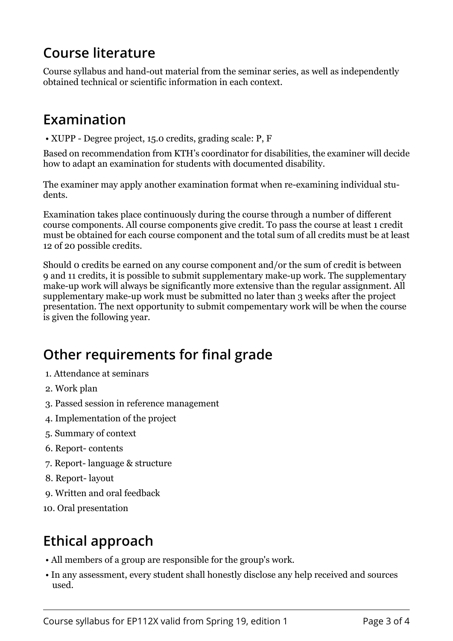# **Course literature**

Course syllabus and hand-out material from the seminar series, as well as independently obtained technical or scientific information in each context.

## **Examination**

• XUPP - Degree project, 15.0 credits, grading scale: P, F

Based on recommendation from KTH's coordinator for disabilities, the examiner will decide how to adapt an examination for students with documented disability.

The examiner may apply another examination format when re-examining individual students.

Examination takes place continuously during the course through a number of different course components. All course components give credit. To pass the course at least 1 credit must be obtained for each course component and the total sum of all credits must be at least 12 of 20 possible credits.

Should 0 credits be earned on any course component and/or the sum of credit is between 9 and 11 credits, it is possible to submit supplementary make-up work. The supplementary make-up work will always be significantly more extensive than the regular assignment. All supplementary make-up work must be submitted no later than 3 weeks after the project presentation. The next opportunity to submit compementary work will be when the course is given the following year.

# **Other requirements for final grade**

- 1. Attendance at seminars
- 2. Work plan
- 3. Passed session in reference management
- 4. Implementation of the project
- 5. Summary of context
- 6. Report- contents
- 7. Report- language & structure
- 8. Report- layout
- 9. Written and oral feedback
- 10. Oral presentation

## **Ethical approach**

- All members of a group are responsible for the group's work.
- In any assessment, every student shall honestly disclose any help received and sources used.